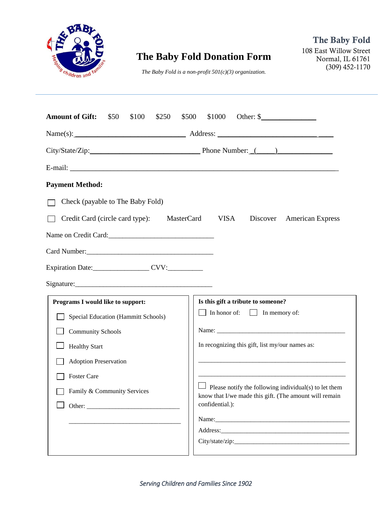

# **The Baby Fold Donation Form**

108 East Willow Street Normal, IL 61761 (309) 452-1170

*The Baby Fold is a non-profit 501(c)(3) organization.*

| <b>Amount of Gift:</b><br>\$50<br>\$100<br>\$250<br>\$500 | \$1000<br>Other: $\frac{1}{2}$                                                                                         |
|-----------------------------------------------------------|------------------------------------------------------------------------------------------------------------------------|
| $Name(s):$ $Address:$ $Address:$                          |                                                                                                                        |
| City/State/Zip: Phone Number: (2003)                      |                                                                                                                        |
|                                                           |                                                                                                                        |
| <b>Payment Method:</b>                                    |                                                                                                                        |
| Check (payable to The Baby Fold)                          |                                                                                                                        |
| Credit Card (circle card type):<br>MasterCard             | <b>VISA</b><br><b>American Express</b><br>Discover                                                                     |
| Name on Credit Card:                                      |                                                                                                                        |
|                                                           |                                                                                                                        |
| Expiration Date: CVV:                                     |                                                                                                                        |
|                                                           |                                                                                                                        |
| Programs I would like to support:                         | Is this gift a tribute to someone?                                                                                     |
| Special Education (Hammitt Schools)                       | $\Box$ In honor of: $\Box$ In memory of:                                                                               |
| <b>Community Schools</b>                                  |                                                                                                                        |
| <b>Healthy Start</b>                                      | In recognizing this gift, list my/our names as:                                                                        |
| <b>Adoption Preservation</b>                              |                                                                                                                        |
| <b>Foster Care</b>                                        |                                                                                                                        |
| Family & Community Services                               | $\Box$ Please notify the following individual(s) to let them<br>know that I/we made this gift. (The amount will remain |
|                                                           | confidential.):                                                                                                        |
|                                                           | Name: Name:                                                                                                            |
|                                                           |                                                                                                                        |
|                                                           |                                                                                                                        |